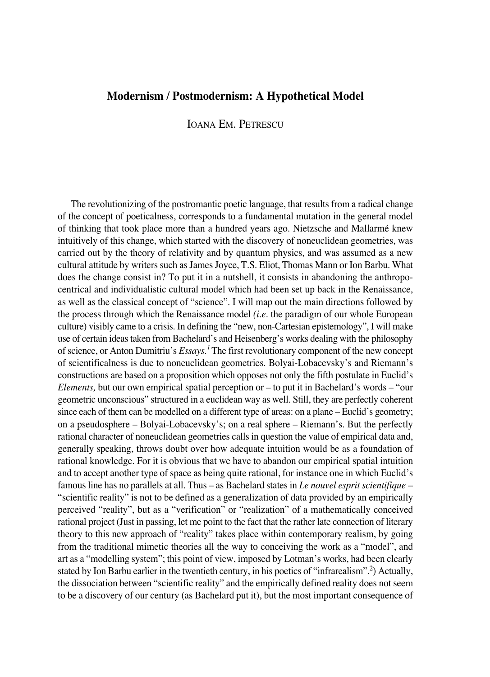## **Modernism / Postmodernism: A Hypothetical Model**

## IOANA EM. PETRESCU

The revolutionizing of the postromantic poetic language, that results from a radical change of the concept of poeticalness, corresponds to a fundamental mutation in the general model of thinking that took place more than a hundred years ago. Nietzsche and Mallarmé knew intuitively of this change, which started with the discovery of noneuclidean geometries, was carried out by the theory of relativity and by quantum physics, and was assumed as a new cultural attitude by writers such as James Joyce, T.S. Eliot, Thomas Mann or Ion Barbu. What does the change consist in? To put it in a nutshell, it consists in abandoning the anthropocentrical and individualistic cultural model which had been set up back in the Renaissance, as well as the classical concept of "science". I will map out the main directions followed by the process through which the Renaissance model *(i.e.* the paradigm of our whole European culture) visibly came to a crisis. In defining the "new, non-Cartesian epistemology", I will make use of certain ideas taken from Bachelard's and Heisenberg's works dealing with the philosophy of science, or Anton Dumitriu's *Essays.1* The first revolutionary component of the new concept of scientificalness is due to noneuclidean geometries. Bolyai°Lobacevsky's and Riemann's constructions are based on a proposition which opposes not only the fifth postulate in Euclid's *Elements,* but our own empirical spatial perception or – to put it in Bachelard's words – "our geometric unconscious" structured in a euclidean way as well. Still, they are perfectly coherent since each of them can be modelled on a different type of areas: on a plane – Euclid's geometry; on a pseudosphere – Bolyai°Lobacevsky's; on a real sphere – Riemann's. But the perfectly rational character of noneuclidean geometries calls in question the value of empirical data and, generally speaking, throws doubt over how adequate intuition would be as a foundation of rational knowledge. For it is obvious that we have to abandon our empirical spatial intuition and to accept another type of space as being quite rational, for instance one in which Euclid's famous line has no parallels at all. Thus – as Bachelard states in *Le nouvel esprit scientifique* – "scientific reality" is not to be defined as a generalization of data provided by an empirically perceived "reality", but as a "verification" or "realization" of a mathematically conceived rational project (Just in passing, let me point to the fact that the rather late connection of literary theory to this new approach of "reality" takes place within contemporary realism, by going from the traditional mimetic theories all the way to conceiving the work as a "model", and art as a "modelling system"; this point of view, imposed by Lotman's works, had been clearly stated by Ion Barbu earlier in the twentieth century, in his poetics of "infrarealism".2) Actually, the dissociation between "scientific reality" and the empirically defined reality does not seem to be a discovery of our century (as Bachelard put it), but the most important consequence of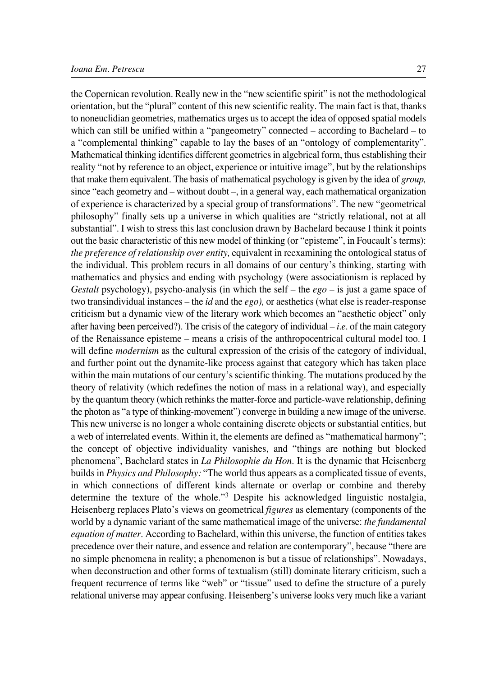the Copernican revolution. Really new in the "new scientific spirit" is not the methodological orientation, but the "plural" content of this new scientific reality. The main fact is that, thanks to noneuclidian geometries, mathematics urges us to accept the idea of opposed spatial models which can still be unified within a "pangeometry" connected – according to Bachelard – to a "complemental thinking" capable to lay the bases of an "ontology of complementarity". Mathematical thinking identifies different geometries in algebrical form, thus establishing their reality "not by reference to an object, experience or intuitive image", but by the relationships that make them equivalent. The basis of mathematical psychology is given by the idea of *group,* since "each geometry and – without doubt –, in a general way, each mathematical organization of experience is characterized by a special group of transformations". The new "geometrical philosophy" finally sets up a universe in which qualities are "strictly relational, not at all substantial". I wish to stress this last conclusion drawn by Bachelard because I think it points out the basic characteristic of this new model of thinking (or "episteme", in Foucault's terms): *the preference of relationship over entity,* equivalent in reexamining the ontological status of the individual. This problem recurs in all domains of our century's thinking, starting with mathematics and physics and ending with psychology (were associationism is replaced by *Gestalt* psychology), psycho-analysis (in which the self – the  $ego$  – is just a game space of two transindividual instances – the *id* and the *ego*), or aesthetics (what else is reader-response criticism but a dynamic view of the literary work which becomes an "aesthetic object" only after having been perceived?). The crisis of the category of individual – *i.e.* of the main category of the Renaissance episteme – means a crisis of the anthropocentrical cultural model too. I will define *modernism* as the cultural expression of the crisis of the category of individual, and further point out the dynamite-like process against that category which has taken place within the main mutations of our century's scientific thinking. The mutations produced by the theory of relativity (which redefines the notion of mass in a relational way), and especially by the quantum theory (which rethinks the matter-force and particle-wave relationship, defining the photon as "a type of thinking°movement") converge in building a new image of the universe. This new universe is no longer a whole containing discrete objects or substantial entities, but a web of interrelated events. Within it, the elements are defined as "mathematical harmony"; the concept of objective individuality vanishes, and "things are nothing but blocked phenomena", Bachelard states in *La Philosophie du Hon.* It is the dynamic that Heisenberg builds in *Physics and Philosophy:* "The world thus appears as a complicated tissue of events, in which connections of different kinds alternate or overlap or combine and thereby determine the texture of the whole."<sup>3</sup> Despite his acknowledged linguistic nostalgia, Heisenberg replaces Plato's views on geometrical *figures* as elementary (components of the world by a dynamic variant of the same mathematical image of the universe: *the fundamental equation of matter.* According to Bachelard, within this universe, the function of entities takes precedence over their nature, and essence and relation are contemporary", because "there are no simple phenomena in reality; a phenomenon is but a tissue of relationships". Nowadays, when deconstruction and other forms of textualism (still) dominate literary criticism, such a frequent recurrence of terms like "web" or "tissue" used to define the structure of a purely relational universe may appear confusing. Heisenberg's universe looks very much like a variant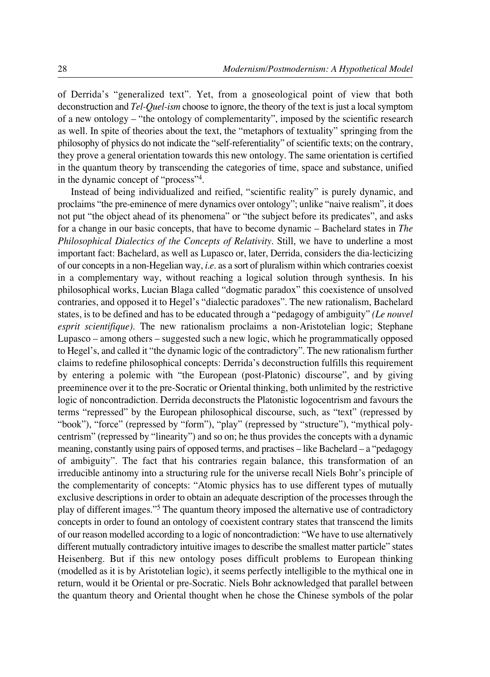of Derrida's "generalized text". Yet, from a gnoseological point of view that both deconstruction and *Tel-Quel-ism* choose to ignore, the theory of the text is just a local symptom of a new ontology – "the ontology of complementarity", imposed by the scientific research as well. In spite of theories about the text, the "metaphors of textuality" springing from the philosophy of physics do not indicate the "self-referentiality" of scientific texts; on the contrary, they prove a general orientation towards this new ontology. The same orientation is certified in the quantum theory by transcending the categories of time, space and substance, unified in the dynamic concept of "process"4.

Instead of being individualized and reified, "scientific reality" is purely dynamic, and proclaims "the pre-eminence of mere dynamics over ontology"; unlike "naive realism", it does not put "the object ahead of its phenomena" or "the subject before its predicates", and asks for a change in our basic concepts, that have to become dynamic – Bachelard states in *The Philosophical Dialectics of the Concepts of Relativity.* Still, we have to underline a most important fact: Bachelard, as well as Lupasco or, later, Derrida, considers the dia-lecticizing of our concepts in a non°Hegelian way, *i.e.* as a sort of pluralism within which contraries coexist in a complementary way, without reaching a logical solution through synthesis. In his philosophical works, Lucian Blaga called "dogmatic paradox" this coexistence of unsolved contraries, and opposed it to Hegel's "dialectic paradoxes". The new rationalism, Bachelard states, is to be defined and has to be educated through a "pedagogy of ambiguity" *(Le nouvel esprit scientifique*). The new rationalism proclaims a non-Aristotelian logic; Stephane Lupasco – among others – suggested such a new logic, which he programmatically opposed to Hegel's, and called it "the dynamic logic of the contradictory". The new rationalism further claims to redefine philosophical concepts: Derrida's deconstruction fulfills this requirement by entering a polemic with "the European (post-Platonic) discourse", and by giving preeminence over it to the pre°Socratic or Oriental thinking, both unlimited by the restrictive logic of noncontradiction. Derrida deconstructs the Platonistic logocentrism and favours the terms "repressed" by the European philosophical discourse, such, as "text" (repressed by "book"), "force" (repressed by "form"), "play" (repressed by "structure"), "mythical polycentrism" (repressed by "linearity") and so on; he thus provides the concepts with a dynamic meaning, constantly using pairs of opposed terms, and practises – like Bachelard – a "pedagogy of ambiguity". The fact that his contraries regain balance, this transformation of an irreducible antinomy into a structuring rule for the universe recall Niels Bohr's principle of the complementarity of concepts: "Atomic physics has to use different types of mutually exclusive descriptions in order to obtain an adequate description of the processes through the play of different images."5 The quantum theory imposed the alternative use of contradictory concepts in order to found an ontology of coexistent contrary states that transcend the limits of our reason modelled according to a logic of noncontradiction: "We have to use alternatively different mutually contradictory intuitive images to describe the smallest matter particle" states Heisenberg. But if this new ontology poses difficult problems to European thinking (modelled as it is by Aristotelian logic), it seems perfectly intelligible to the mythical one in return, would it be Oriental or pre-Socratic. Niels Bohr acknowledged that parallel between the quantum theory and Oriental thought when he chose the Chinese symbols of the polar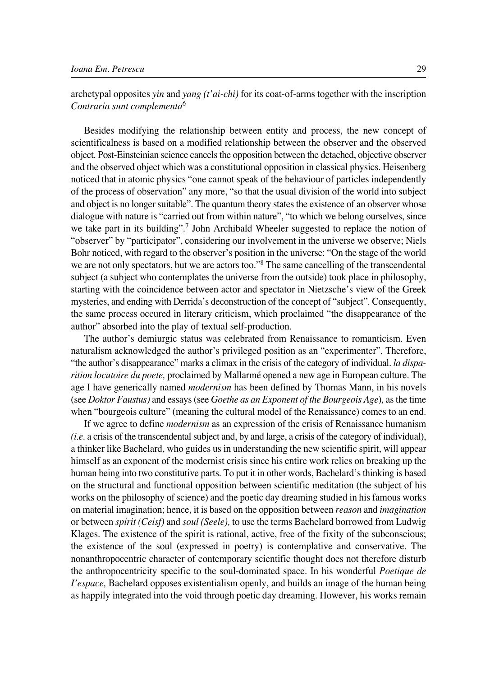archetypal opposites *yin* and *yang (t'ai-chi)* for its coat-of-arms together with the inscription *Contraria sunt complementa6*

Besides modifying the relationship between entity and process, the new concept of scientificalness is based on a modified relationship between the observer and the observed object. Post°Einsteinian science cancels the opposition between the detached, objective observer and the observed object which was a constitutional opposition in classical physics. Heisenberg noticed that in atomic physics "one cannot speak of the behaviour of particles independently of the process of observation" any more, "so that the usual division of the world into subject and object is no longer suitable". The quantum theory states the existence of an observer whose dialogue with nature is "carried out from within nature", "to which we belong ourselves, since we take part in its building".<sup>7</sup> John Archibald Wheeler suggested to replace the notion of "observer" by "participator", considering our involvement in the universe we observe; Niels Bohr noticed, with regard to the observer's position in the universe: "On the stage of the world we are not only spectators, but we are actors too."<sup>8</sup> The same cancelling of the transcendental subject (a subject who contemplates the universe from the outside) took place in philosophy, starting with the coincidence between actor and spectator in Nietzsche's view of the Greek mysteries, and ending with Derrida's deconstruction of the concept of "subject". Consequently, the same process occured in literary criticism, which proclaimed "the disappearance of the author" absorbed into the play of textual self-production.

The author's demiurgic status was celebrated from Renaissance to romanticism. Even naturalism acknowledged the author's privileged position as an "experimenter". Therefore, "the author's disappearance" marks a climax in the crisis of the category of individual. *la disparition locutoire du poete,* proclaimed by Mallarmé opened a new age in European culture. The age I have generically named *modernism* has been defined by Thomas Mann, in his novels (see *Doktor Faustus)* and essays (see *Goethe as an Exponent of the Bourgeois Age*)*,* as the time when "bourgeois culture" (meaning the cultural model of the Renaissance) comes to an end.

If we agree to define *modernism* as an expression of the crisis of Renaissance humanism *(i.e.* a crisis of the transcendental subject and, by and large, a crisis of the category of individual), a thinker like Bachelard, who guides us in understanding the new scientific spirit, will appear himself as an exponent of the modernist crisis since his entire work relics on breaking up the human being into two constitutive parts. To put it in other words, Bachelard's thinking is based on the structural and functional opposition between scientific meditation (the subject of his works on the philosophy of science) and the poetic day dreaming studied in his famous works on material imagination; hence, it is based on the opposition between *reason* and *imagination* or between *spirit (Ceisf)* and *soul (Seele),* to use the terms Bachelard borrowed from Ludwig Klages. The existence of the spirit is rational, active, free of the fixity of the subconscious; the existence of the soul (expressed in poetry) is contemplative and conservative. The nonanthropocentric character of contemporary scientific thought does not therefore disturb the anthropocentricity specific to the soul°dominated space. In his wonderful *Poetique de I'espace*, Bachelard opposes existentialism openly, and builds an image of the human being as happily integrated into the void through poetic day dreaming. However, his works remain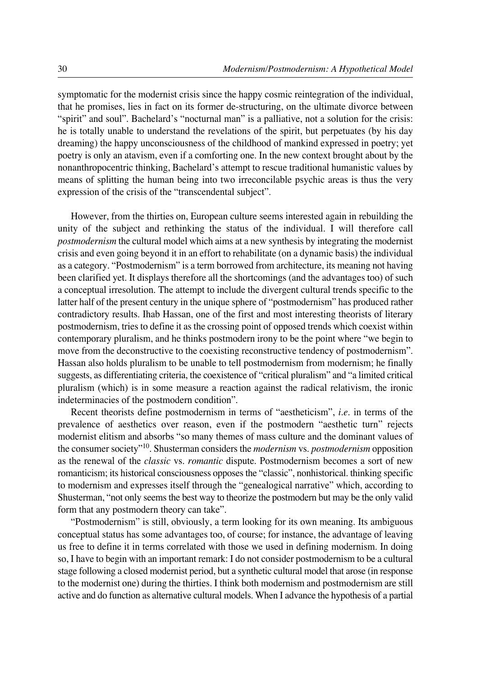symptomatic for the modernist crisis since the happy cosmic reintegration of the individual, that he promises, lies in fact on its former de-structuring, on the ultimate divorce between "spirit" and soul". Bachelard's "nocturnal man" is a palliative, not a solution for the crisis: he is totally unable to understand the revelations of the spirit, but perpetuates (by his day dreaming) the happy unconsciousness of the childhood of mankind expressed in poetry; yet poetry is only an atavism, even if a comforting one. In the new context brought about by the nonanthropocentric thinking, Bachelard's attempt to rescue traditional humanistic values by means of splitting the human being into two irreconcilable psychic areas is thus the very expression of the crisis of the "transcendental subject".

However, from the thirties on, European culture seems interested again in rebuilding the unity of the subject and rethinking the status of the individual. I will therefore call *postmodernism* the cultural model which aims at a new synthesis by integrating the modernist crisis and even going beyond it in an effort to rehabilitate (on a dynamic basis) the individual as a category. "Postmodernism" is a term borrowed from architecture, its meaning not having been clarified yet. It displays therefore all the shortcomings (and the advantages too) of such a conceptual irresolution. The attempt to include the divergent cultural trends specific to the latter half of the present century in the unique sphere of "postmodernism" has produced rather contradictory results. Ihab Hassan, one of the first and most interesting theorists of literary postmodernism, tries to define it as the crossing point of opposed trends which coexist within contemporary pluralism, and he thinks postmodern irony to be the point where "we begin to move from the deconstructive to the coexisting reconstructive tendency of postmodernism". Hassan also holds pluralism to be unable to tell postmodernism from modernism; he finally suggests, as differentiating criteria, the coexistence of "critical pluralism" and "a limited critical pluralism (which) is in some measure a reaction against the radical relativism, the ironic indeterminacies of the postmodern condition".

Recent theorists define postmodernism in terms of "aestheticism", *i.e.* in terms of the prevalence of aesthetics over reason, even if the postmodern "aesthetic turn" rejects modernist elitism and absorbs "so many themes of mass culture and the dominant values of the consumer society"10. Shusterman considers the *modernism* vs. *postmodernism* opposition as the renewal of the *classic* vs. *romantic* dispute. Postmodernism becomes a sort of new romanticism; its historical consciousness opposes the "classic", nonhistorical. thinking specific to modernism and expresses itself through the "genealogical narrative" which, according to Shusterman, "not only seems the best way to theorize the postmodern but may be the only valid form that any postmodern theory can take".

"Postmodernism" is still, obviously, a term looking for its own meaning. Its ambiguous conceptual status has some advantages too, of course; for instance, the advantage of leaving us free to define it in terms correlated with those we used in defining modernism. In doing so, I have to begin with an important remark: I do not consider postmodernism to be a cultural stage following a closed modernist period, but a synthetic cultural model that arose (in response to the modernist one) during the thirties. I think both modernism and postmodernism are still active and do function as alternative cultural models. When I advance the hypothesis of a partial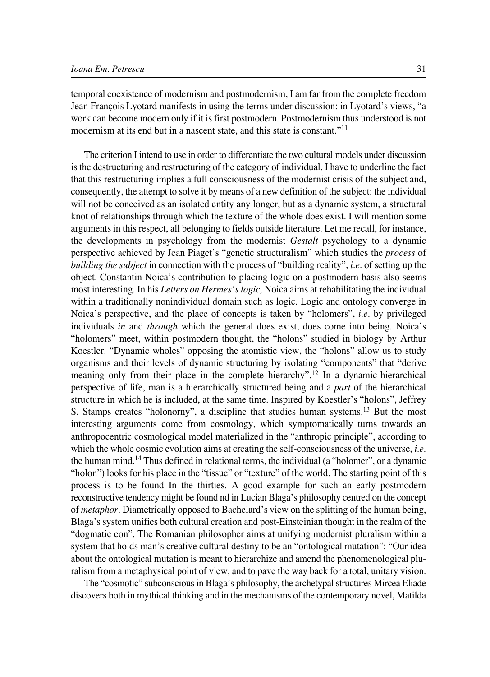temporal coexistence of modernism and postmodernism, I am far from the complete freedom Jean François Lyotard manifests in using the terms under discussion: in Lyotard's views, "a work can become modern only if it is first postmodern. Postmodernism thus understood is not modernism at its end but in a nascent state, and this state is constant."<sup>11</sup>

The criterion I intend to use in order to differentiate the two cultural models under discussion is the destructuring and restructuring of the category of individual. I have to underline the fact that this restructuring implies a full consciousness of the modernist crisis of the subject and, consequently, the attempt to solve it by means of a new definition of the subject: the individual will not be conceived as an isolated entity any longer, but as a dynamic system, a structural knot of relationships through which the texture of the whole does exist. I will mention some arguments in this respect, all belonging to fields outside literature. Let me recall, for instance, the developments in psychology from the modernist *Gestalt* psychology to a dynamic perspective achieved by Jean Piaget's "genetic structuralism" which studies the *process* of *building the subject* in connection with the process of "building reality", *i.e.* of setting up the object. Constantin Noica's contribution to placing logic on a postmodern basis also seems most interesting. In his *Letters on Hermes's logic,* Noica aims at rehabilitating the individual within a traditionally nonindividual domain such as logic. Logic and ontology converge in Noica's perspective, and the place of concepts is taken by "holomers", *i.e.* by privileged individuals *in* and *through* which the general does exist, does come into being. Noica's "holomers" meet, within postmodern thought, the "holons" studied in biology by Arthur Koestler. "Dynamic wholes" opposing the atomistic view, the "holons" allow us to study organisms and their levels of dynamic structuring by isolating "components" that "derive meaning only from their place in the complete hierarchy".<sup>12</sup> In a dynamic-hierarchical perspective of life, man is a hierarchically structured being and a *part* of the hierarchical structure in which he is included, at the same time. Inspired by Koestler's "holons", Jeffrey S. Stamps creates "holonorny", a discipline that studies human systems.<sup>13</sup> But the most interesting arguments come from cosmology, which symptomatically turns towards an anthropocentric cosmological model materialized in the "anthropic principle", according to which the whole cosmic evolution aims at creating the self-consciousness of the universe, *i.e.* the human mind.14 Thus defined in relational terms, the individual (a "holomer", or a dynamic "holon") looks for his place in the "tissue" or "texture" of the world. The starting point of this process is to be found In the thirties. A good example for such an early postmodern reconstructive tendency might be found nd in Lucian Blaga's philosophy centred on the concept of *metaphor.* Diametrically opposed to Bachelard's view on the splitting of the human being, Blaga's system unifies both cultural creation and post-Einsteinian thought in the realm of the "dogmatic eon". The Romanian philosopher aims at unifying modernist pluralism within a system that holds man's creative cultural destiny to be an "ontological mutation": "Our idea about the ontological mutation is meant to hierarchize and amend the phenomenological pluralism from a metaphysical point of view, and to pave the way back for a total, unitary vision.

The "cosmotic" subconscious in Blaga's philosophy, the archetypal structures Mircea Eliade discovers both in mythical thinking and in the mechanisms of the contemporary novel, Matilda